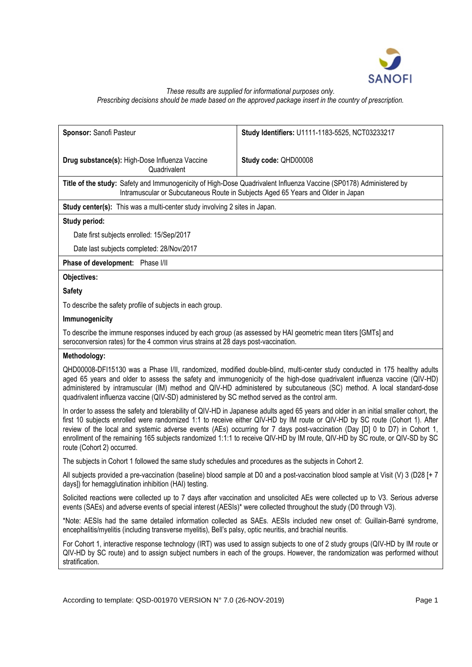

## *These results are supplied for informational purposes only. Prescribing decisions should be made based on the approved package insert in the country of prescription.*

| Sponsor: Sanofi Pasteur                                                                                                                                                                                                                                                                                                                                                                                                                                                                                                                                          | Study Identifiers: U1111-1183-5525, NCT03233217                                                                         |  |
|------------------------------------------------------------------------------------------------------------------------------------------------------------------------------------------------------------------------------------------------------------------------------------------------------------------------------------------------------------------------------------------------------------------------------------------------------------------------------------------------------------------------------------------------------------------|-------------------------------------------------------------------------------------------------------------------------|--|
| Drug substance(s): High-Dose Influenza Vaccine<br>Quadrivalent                                                                                                                                                                                                                                                                                                                                                                                                                                                                                                   | Study code: QHD00008                                                                                                    |  |
| Title of the study: Safety and Immunogenicity of High-Dose Quadrivalent Influenza Vaccine (SP0178) Administered by<br>Intramuscular or Subcutaneous Route in Subjects Aged 65 Years and Older in Japan                                                                                                                                                                                                                                                                                                                                                           |                                                                                                                         |  |
| Study center(s): This was a multi-center study involving 2 sites in Japan.                                                                                                                                                                                                                                                                                                                                                                                                                                                                                       |                                                                                                                         |  |
| Study period:                                                                                                                                                                                                                                                                                                                                                                                                                                                                                                                                                    |                                                                                                                         |  |
| Date first subjects enrolled: 15/Sep/2017                                                                                                                                                                                                                                                                                                                                                                                                                                                                                                                        |                                                                                                                         |  |
| Date last subjects completed: 28/Nov/2017                                                                                                                                                                                                                                                                                                                                                                                                                                                                                                                        |                                                                                                                         |  |
| Phase of development: Phase I/II                                                                                                                                                                                                                                                                                                                                                                                                                                                                                                                                 |                                                                                                                         |  |
| Objectives:                                                                                                                                                                                                                                                                                                                                                                                                                                                                                                                                                      |                                                                                                                         |  |
| <b>Safety</b>                                                                                                                                                                                                                                                                                                                                                                                                                                                                                                                                                    |                                                                                                                         |  |
| To describe the safety profile of subjects in each group.                                                                                                                                                                                                                                                                                                                                                                                                                                                                                                        |                                                                                                                         |  |
| Immunogenicity                                                                                                                                                                                                                                                                                                                                                                                                                                                                                                                                                   |                                                                                                                         |  |
| To describe the immune responses induced by each group (as assessed by HAI geometric mean titers [GMTs] and<br>seroconversion rates) for the 4 common virus strains at 28 days post-vaccination.                                                                                                                                                                                                                                                                                                                                                                 |                                                                                                                         |  |
| Methodology:                                                                                                                                                                                                                                                                                                                                                                                                                                                                                                                                                     |                                                                                                                         |  |
| QHD00008-DF115130 was a Phase I/II, randomized, modified double-blind, multi-center study conducted in 175 healthy adults<br>aged 65 years and older to assess the safety and immunogenicity of the high-dose quadrivalent influenza vaccine (QIV-HD)<br>administered by intramuscular (IM) method and QIV-HD administered by subcutaneous (SC) method. A local standard-dose<br>quadrivalent influenza vaccine (QIV-SD) administered by SC method served as the control arm.                                                                                    |                                                                                                                         |  |
| In order to assess the safety and tolerability of QIV-HD in Japanese adults aged 65 years and older in an initial smaller cohort, the<br>first 10 subjects enrolled were randomized 1:1 to receive either QIV-HD by IM route or QIV-HD by SC route (Cohort 1). After<br>review of the local and systemic adverse events (AEs) occurring for 7 days post-vaccination (Day [D] 0 to D7) in Cohort 1,<br>enrollment of the remaining 165 subjects randomized 1:1:1 to receive QIV-HD by IM route, QIV-HD by SC route, or QIV-SD by SC<br>route (Cohort 2) occurred. |                                                                                                                         |  |
|                                                                                                                                                                                                                                                                                                                                                                                                                                                                                                                                                                  | The subjects in Cohort 1 followed the same study schedules and procedures as the subjects in Cohort 2.                  |  |
| All subjects provided a pre-vaccination (baseline) blood sample at D0 and a post-vaccination blood sample at Visit (V) 3 (D28 [+7]<br>days]) for hemagglutination inhibition (HAI) testing.                                                                                                                                                                                                                                                                                                                                                                      |                                                                                                                         |  |
| Solicited reactions were collected up to 7 days after vaccination and unsolicited AEs were collected up to V3. Serious adverse<br>events (SAEs) and adverse events of special interest (AESIs)* were collected throughout the study (D0 through V3).                                                                                                                                                                                                                                                                                                             |                                                                                                                         |  |
| encephalitis/myelitis (including transverse myelitis), Bell's palsy, optic neuritis, and brachial neuritis.                                                                                                                                                                                                                                                                                                                                                                                                                                                      | *Note: AESIs had the same detailed information collected as SAEs. AESIs included new onset of: Guillain-Barré syndrome, |  |
| For Cohort 1, interactive response technology (IRT) was used to assign subjects to one of 2 study groups (QIV-HD by IM route or<br>QIV-HD by SC route) and to assign subject numbers in each of the groups. However, the randomization was performed without<br>stratification.                                                                                                                                                                                                                                                                                  |                                                                                                                         |  |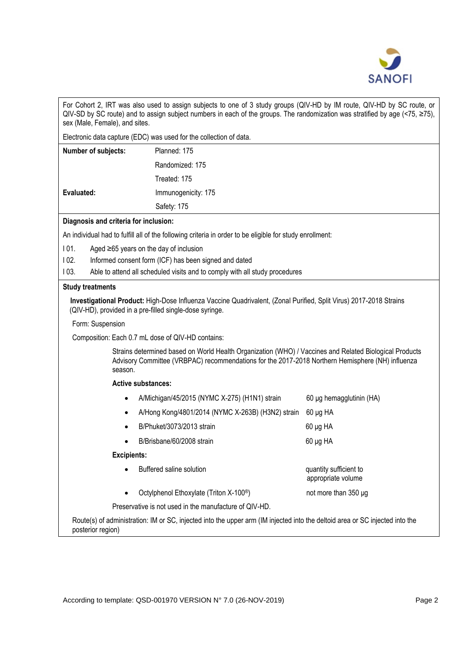

| For Cohort 2, IRT was also used to assign subjects to one of 3 study groups (QIV-HD by IM route, QIV-HD by SC route, or            |  |
|------------------------------------------------------------------------------------------------------------------------------------|--|
| QIV-SD by SC route) and to assign subject numbers in each of the groups. The randomization was stratified by age (<75, $\geq$ 75), |  |
| sex (Male, Female), and sites.                                                                                                     |  |

Electronic data capture (EDC) was used for the collection of data.

| <b>Number of subjects:</b> | Planned: 175        |
|----------------------------|---------------------|
|                            | Randomized: 175     |
|                            | Treated: 175        |
| Evaluated:                 | Immunogenicity: 175 |
|                            | Safety: 175         |

# **Diagnosis and criteria for inclusion:**

An individual had to fulfill all of the following criteria in order to be eligible for study enrollment:

I 01. Aged ≥65 years on the day of inclusion

- I 02. Informed consent form (ICF) has been signed and dated
- I 03. Able to attend all scheduled visits and to comply with all study procedures

## **Study treatments**

**Investigational Product:** High-Dose Influenza Vaccine Quadrivalent, (Zonal Purified, Split Virus) 2017-2018 Strains (QIV-HD), provided in a pre-filled single-dose syringe.

Form: Suspension

Composition: Each 0.7 mL dose of QIV-HD contains:

Strains determined based on World Health Organization (WHO) / Vaccines and Related Biological Products Advisory Committee (VRBPAC) recommendations for the 2017-2018 Northern Hemisphere (NH) influenza season.

# **Active substances:**

| $\bullet$          | A/Michigan/45/2015 (NYMC X-275) (H1N1) strain          | 60 µg hemagglutinin (HA)                     |
|--------------------|--------------------------------------------------------|----------------------------------------------|
| $\bullet$          | A/Hong Kong/4801/2014 (NYMC X-263B) (H3N2) strain      | $60 \mu g$ HA                                |
| $\bullet$          | B/Phuket/3073/2013 strain                              | $60 \mu g$ HA                                |
| $\bullet$          | B/Brisbane/60/2008 strain                              | $60 \mu g$ HA                                |
| <b>Excipients:</b> |                                                        |                                              |
| $\bullet$          | Buffered saline solution                               | quantity sufficient to<br>appropriate volume |
| $\bullet$          | Octylphenol Ethoxylate (Triton X-100 <sup>®</sup> )    | not more than 350 µg                         |
|                    | Preservative is not used in the manufacture of QIV-HD. |                                              |
|                    |                                                        |                                              |

Route(s) of administration: IM or SC, injected into the upper arm (IM injected into the deltoid area or SC injected into the posterior region)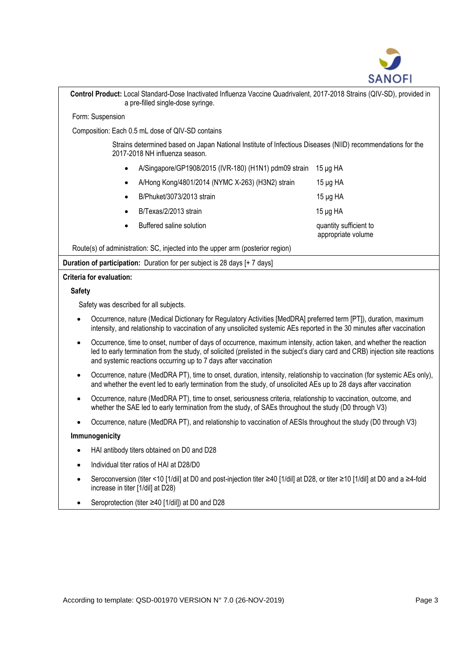

| Control Product: Local Standard-Dose Inactivated Influenza Vaccine Quadrivalent, 2017-2018 Strains (QIV-SD), provided in<br>a pre-filled single-dose syringe.                                                                                                                                                                        |                                              |  |  |  |
|--------------------------------------------------------------------------------------------------------------------------------------------------------------------------------------------------------------------------------------------------------------------------------------------------------------------------------------|----------------------------------------------|--|--|--|
| Form: Suspension                                                                                                                                                                                                                                                                                                                     |                                              |  |  |  |
| Composition: Each 0.5 mL dose of QIV-SD contains                                                                                                                                                                                                                                                                                     |                                              |  |  |  |
| Strains determined based on Japan National Institute of Infectious Diseases (NIID) recommendations for the<br>2017-2018 NH influenza season.                                                                                                                                                                                         |                                              |  |  |  |
| A/Singapore/GP1908/2015 (IVR-180) (H1N1) pdm09 strain                                                                                                                                                                                                                                                                                | $15 \mu g$ HA                                |  |  |  |
| A/Hong Kong/4801/2014 (NYMC X-263) (H3N2) strain                                                                                                                                                                                                                                                                                     | $15 \mu g$ HA                                |  |  |  |
| B/Phuket/3073/2013 strain                                                                                                                                                                                                                                                                                                            | $15 \mu g$ HA                                |  |  |  |
| B/Texas/2/2013 strain                                                                                                                                                                                                                                                                                                                | $15 \mu g$ HA                                |  |  |  |
| Buffered saline solution                                                                                                                                                                                                                                                                                                             | quantity sufficient to<br>appropriate volume |  |  |  |
| Route(s) of administration: SC, injected into the upper arm (posterior region)                                                                                                                                                                                                                                                       |                                              |  |  |  |
| Duration of participation: Duration for per subject is 28 days [+ 7 days]                                                                                                                                                                                                                                                            |                                              |  |  |  |
| Criteria for evaluation:                                                                                                                                                                                                                                                                                                             |                                              |  |  |  |
| <b>Safety</b>                                                                                                                                                                                                                                                                                                                        |                                              |  |  |  |
| Safety was described for all subjects.                                                                                                                                                                                                                                                                                               |                                              |  |  |  |
| Occurrence, nature (Medical Dictionary for Regulatory Activities [MedDRA] preferred term [PT]), duration, maximum<br>intensity, and relationship to vaccination of any unsolicited systemic AEs reported in the 30 minutes after vaccination                                                                                         |                                              |  |  |  |
| Occurrence, time to onset, number of days of occurrence, maximum intensity, action taken, and whether the reaction<br>$\bullet$<br>led to early termination from the study, of solicited (prelisted in the subject's diary card and CRB) injection site reactions<br>and systemic reactions occurring up to 7 days after vaccination |                                              |  |  |  |
| Occurrence, nature (MedDRA PT), time to onset, duration, intensity, relationship to vaccination (for systemic AEs only),<br>and whether the event led to early termination from the study, of unsolicited AEs up to 28 days after vaccination                                                                                        |                                              |  |  |  |

- Occurrence, nature (MedDRA PT), time to onset, seriousness criteria, relationship to vaccination, outcome, and whether the SAE led to early termination from the study, of SAEs throughout the study (D0 through V3)
- Occurrence, nature (MedDRA PT), and relationship to vaccination of AESIs throughout the study (D0 through V3)

## **Immunogenicity**

- HAI antibody titers obtained on D0 and D28
- Individual titer ratios of HAI at D28/D0
- Seroconversion (titer <10 [1/dil] at D0 and post-injection titer ≥40 [1/dil] at D28, or titer ≥10 [1/dil] at D0 and a ≥4fold increase in titer [1/dil] at D28)
- Seroprotection (titer ≥40 [1/dil]) at D0 and D28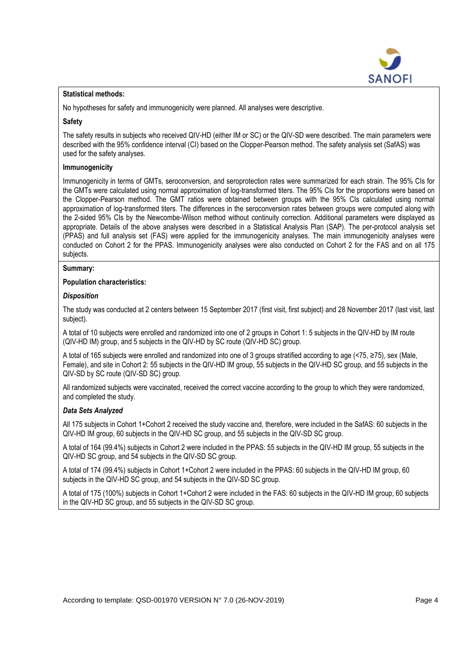

### **Statistical methods:**

No hypotheses for safety and immunogenicity were planned. All analyses were descriptive.

## **Safety**

The safety results in subjects who received QIV-HD (either IM or SC) or the QIV-SD were described. The main parameters were described with the 95% confidence interval (CI) based on the Clopper-Pearson method. The safety analysis set (SafAS) was used for the safety analyses.

#### **Immunogenicity**

Immunogenicity in terms of GMTs, seroconversion, and seroprotection rates were summarized for each strain. The 95% CIs for the GMTs were calculated using normal approximation of log-transformed titers. The 95% CIs for the proportions were based on the Clopper-Pearson method. The GMT ratios were obtained between groups with the 95% CIs calculated using normal approximation of log-transformed titers. The differences in the seroconversion rates between groups were computed along with the 2-sided 95% CIs by the Newcombe-Wilson method without continuity correction. Additional parameters were displayed as appropriate. Details of the above analyses were described in a Statistical Analysis Plan (SAP). The per-protocol analysis set (PPAS) and full analysis set (FAS) were applied for the immunogenicity analyses. The main immunogenicity analyses were conducted on Cohort 2 for the PPAS. Immunogenicity analyses were also conducted on Cohort 2 for the FAS and on all 175 subjects.

#### **Summary:**

## **Population characteristics:**

#### *Disposition*

The study was conducted at 2 centers between 15 September 2017 (first visit, first subject) and 28 November 2017 (last visit, last subject).

A total of 10 subjects were enrolled and randomized into one of 2 groups in Cohort 1: 5 subjects in the QIV-HD by IM route (QIV-HD IM) group, and 5 subjects in the QIV-HD by SC route (QIV-HD SC) group.

A total of 165 subjects were enrolled and randomized into one of 3 groups stratified according to age (<75, ≥75), sex (Male, Female), and site in Cohort 2: 55 subjects in the QIV-HD IM group, 55 subjects in the QIV-HD SC group, and 55 subjects in the QIV-SD by SC route (QIV-SD SC) group.

All randomized subjects were vaccinated, received the correct vaccine according to the group to which they were randomized, and completed the study.

## *Data Sets Analyzed*

All 175 subjects in Cohort 1+Cohort 2 received the study vaccine and, therefore, were included in the SafAS: 60 subjects in the QIV-HD IM group, 60 subjects in the QIV-HD SC group, and 55 subjects in the QIV-SD SC group.

A total of 164 (99.4%) subjects in Cohort 2 were included in the PPAS: 55 subjects in the QIV-HD IM group, 55 subjects in the QIV-HD SC group, and 54 subjects in the QIV-SD SC group.

A total of 174 (99.4%) subjects in Cohort 1+Cohort 2 were included in the PPAS: 60 subjects in the QIV-HD IM group, 60 subjects in the QIV-HD SC group, and 54 subjects in the QIV-SD SC group.

A total of 175 (100%) subjects in Cohort 1+Cohort 2 were included in the FAS: 60 subjects in the QIV-HD IM group, 60 subjects in the QIV-HD SC group, and 55 subjects in the QIV-SD SC group.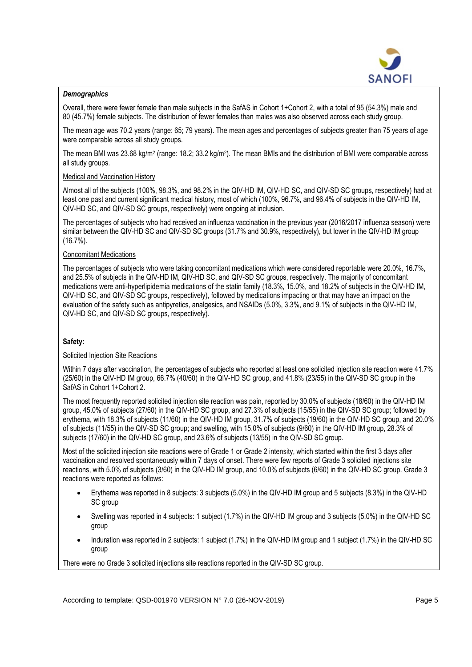

## *Demographics*

Overall, there were fewer female than male subjects in the SafAS in Cohort 1+Cohort 2, with a total of 95 (54.3%) male and 80 (45.7%) female subjects. The distribution of fewer females than males was also observed across each study group.

The mean age was 70.2 years (range: 65; 79 years). The mean ages and percentages of subjects greater than 75 years of age were comparable across all study groups.

The mean BMI was 23.68 kg/m<sup>2</sup> (range: 18.2; 33.2 kg/m<sup>2</sup>). The mean BMIs and the distribution of BMI were comparable across all study groups.

## Medical and Vaccination History

Almost all of the subjects (100%, 98.3%, and 98.2% in the QIV-HD IM, QIV-HD SC, and QIV-SD SC groups, respectively) had at least one past and current significant medical history, most of which (100%, 96.7%, and 96.4% of subjects in the QIV-HD IM, QIV-HD SC, and QIV-SD SC groups, respectively) were ongoing at inclusion.

The percentages of subjects who had received an influenza vaccination in the previous year (2016/2017 influenza season) were similar between the QIV-HD SC and QIV-SD SC groups (31.7% and 30.9%, respectively), but lower in the QIV-HD IM group (16.7%).

## Concomitant Medications

The percentages of subjects who were taking concomitant medications which were considered reportable were 20.0%, 16.7%, and 25.5% of subjects in the QIV-HD IM, QIV-HD SC, and QIV-SD SC groups, respectively. The majority of concomitant medications were anti-hyperlipidemia medications of the statin family (18.3%, 15.0%, and 18.2% of subjects in the QIV-HD IM, QIV-HD SC, and QIV-SD SC groups, respectively), followed by medications impacting or that may have an impact on the evaluation of the safety such as antipyretics, analgesics, and NSAIDs (5.0%, 3.3%, and 9.1% of subjects in the QIV-HD IM, QIV-HD SC, and QIV-SD SC groups, respectively).

## **Safety:**

## Solicited Injection Site Reactions

Within 7 days after vaccination, the percentages of subjects who reported at least one solicited injection site reaction were 41.7% (25/60) in the QIV-HD IM group, 66.7% (40/60) in the QIV-HD SC group, and 41.8% (23/55) in the QIV-SD SC group in the SafAS in Cohort 1+Cohort 2.

The most frequently reported solicited injection site reaction was pain, reported by 30.0% of subjects (18/60) in the QIV-HD IM group, 45.0% of subjects (27/60) in the QIV-HD SC group, and 27.3% of subjects (15/55) in the QIV-SD SC group; followed by erythema, with 18.3% of subjects (11/60) in the QIV-HD IM group, 31.7% of subjects (19/60) in the QIV-HD SC group, and 20.0% of subjects (11/55) in the QIV-SD SC group; and swelling, with 15.0% of subjects (9/60) in the QIV-HD IM group, 28.3% of subjects (17/60) in the QIV-HD SC group, and 23.6% of subjects (13/55) in the QIV-SD SC group.

Most of the solicited injection site reactions were of Grade 1 or Grade 2 intensity, which started within the first 3 days after vaccination and resolved spontaneously within 7 days of onset. There were few reports of Grade 3 solicited injections site reactions, with 5.0% of subjects (3/60) in the QIV-HD IM group, and 10.0% of subjects (6/60) in the QIV-HD SC group. Grade 3 reactions were reported as follows:

- Erythema was reported in 8 subjects: 3 subjects (5.0%) in the QIV-HD IM group and 5 subjects (8.3%) in the QIV-HD SC group
- Swelling was reported in 4 subjects: 1 subject (1.7%) in the QIV-HD IM group and 3 subjects (5.0%) in the QIV-HD SC group
- Induration was reported in 2 subjects: 1 subject (1.7%) in the QIV-HD IM group and 1 subject (1.7%) in the QIV-HD SC group

There were no Grade 3 solicited injections site reactions reported in the QIV-SD SC group.

According to template: QSD-001970 VERSION N° 7.0 (26-NOV-2019) Page 5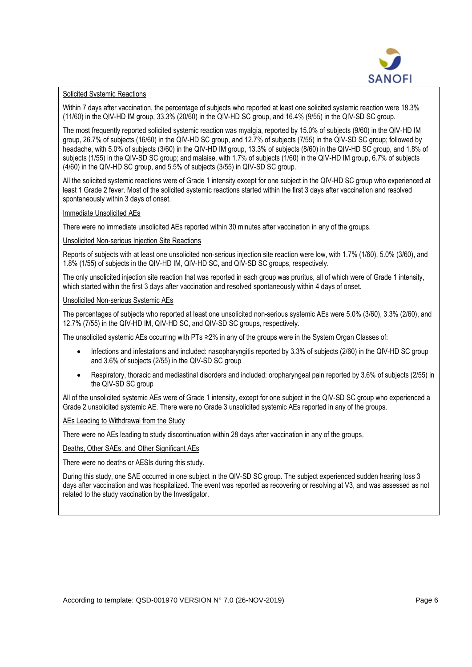

### Solicited Systemic Reactions

Within 7 days after vaccination, the percentage of subjects who reported at least one solicited systemic reaction were 18.3% (11/60) in the QIV-HD IM group, 33.3% (20/60) in the QIV-HD SC group, and 16.4% (9/55) in the QIV-SD SC group.

The most frequently reported solicited systemic reaction was myalgia, reported by 15.0% of subjects (9/60) in the QIV-HD IM group, 26.7% of subjects (16/60) in the QIV-HD SC group, and 12.7% of subjects (7/55) in the QIV-SD SC group; followed by headache, with 5.0% of subjects (3/60) in the QIV-HD IM group, 13.3% of subjects (8/60) in the QIV-HD SC group, and 1.8% of subjects (1/55) in the QIV-SD SC group; and malaise, with 1.7% of subjects (1/60) in the QIV-HD IM group, 6.7% of subjects (4/60) in the QIV-HD SC group, and 5.5% of subjects (3/55) in QIV-SD SC group.

All the solicited systemic reactions were of Grade 1 intensity except for one subject in the QIV-HD SC group who experienced at least 1 Grade 2 fever. Most of the solicited systemic reactions started within the first 3 days after vaccination and resolved spontaneously within 3 days of onset.

#### Immediate Unsolicited AEs

There were no immediate unsolicited AEs reported within 30 minutes after vaccination in any of the groups.

#### Unsolicited Non-serious Injection Site Reactions

Reports of subjects with at least one unsolicited non-serious injection site reaction were low, with 1.7% (1/60), 5.0% (3/60), and 1.8% (1/55) of subjects in the QIV-HD IM, QIV-HD SC, and QIV-SD SC groups, respectively.

The only unsolicited injection site reaction that was reported in each group was pruritus, all of which were of Grade 1 intensity, which started within the first 3 days after vaccination and resolved spontaneously within 4 days of onset.

#### Unsolicited Non-serious Systemic AEs

The percentages of subjects who reported at least one unsolicited non-serious systemic AEs were 5.0% (3/60), 3.3% (2/60), and 12.7% (7/55) in the QIV-HD IM, QIV-HD SC, and QIV-SD SC groups, respectively.

The unsolicited systemic AEs occurring with PTs ≥2% in any of the groups were in the System Organ Classes of:

- Infections and infestations and included: nasopharyngitis reported by 3.3% of subjects (2/60) in the QIV-HD SC group and 3.6% of subjects (2/55) in the QIV-SD SC group
- Respiratory, thoracic and mediastinal disorders and included: oropharyngeal pain reported by 3.6% of subjects (2/55) in the QIV-SD SC group

All of the unsolicited systemic AEs were of Grade 1 intensity, except for one subject in the QIV-SD SC group who experienced a Grade 2 unsolicited systemic AE. There were no Grade 3 unsolicited systemic AEs reported in any of the groups.

#### AEs Leading to Withdrawal from the Study

There were no AEs leading to study discontinuation within 28 days after vaccination in any of the groups.

#### Deaths, Other SAEs, and Other Significant AEs

There were no deaths or AESIs during this study.

During this study, one SAE occurred in one subject in the QIV-SD SC group. The subject experienced sudden hearing loss 3 days after vaccination and was hospitalized. The event was reported as recovering or resolving at V3, and was assessed as not related to the study vaccination by the Investigator.